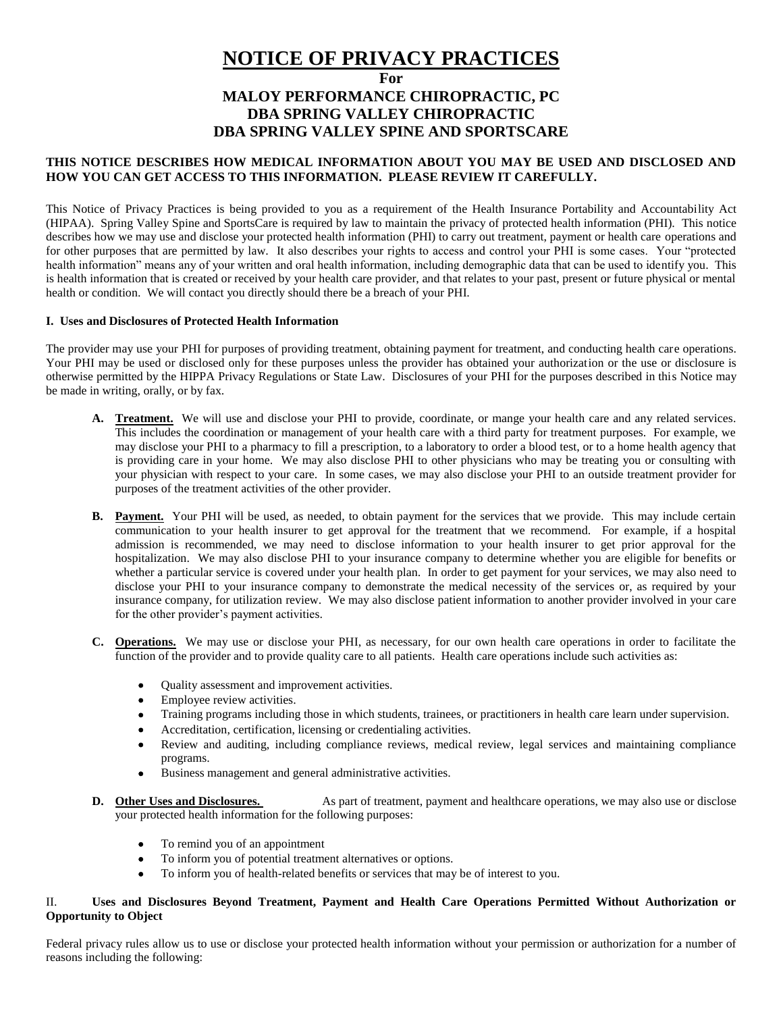# **NOTICE OF PRIVACY PRACTICES For MALOY PERFORMANCE CHIROPRACTIC, PC DBA SPRING VALLEY CHIROPRACTIC DBA SPRING VALLEY SPINE AND SPORTSCARE**

# **THIS NOTICE DESCRIBES HOW MEDICAL INFORMATION ABOUT YOU MAY BE USED AND DISCLOSED AND HOW YOU CAN GET ACCESS TO THIS INFORMATION. PLEASE REVIEW IT CAREFULLY.**

This Notice of Privacy Practices is being provided to you as a requirement of the Health Insurance Portability and Accountability Act (HIPAA). Spring Valley Spine and SportsCare is required by law to maintain the privacy of protected health information (PHI). This notice describes how we may use and disclose your protected health information (PHI) to carry out treatment, payment or health care operations and for other purposes that are permitted by law. It also describes your rights to access and control your PHI is some cases. Your "protected health information" means any of your written and oral health information, including demographic data that can be used to identify you. This is health information that is created or received by your health care provider, and that relates to your past, present or future physical or mental health or condition. We will contact you directly should there be a breach of your PHI.

## **I. Uses and Disclosures of Protected Health Information**

The provider may use your PHI for purposes of providing treatment, obtaining payment for treatment, and conducting health care operations. Your PHI may be used or disclosed only for these purposes unless the provider has obtained your authorization or the use or disclosure is otherwise permitted by the HIPPA Privacy Regulations or State Law. Disclosures of your PHI for the purposes described in this Notice may be made in writing, orally, or by fax.

- **A. Treatment.** We will use and disclose your PHI to provide, coordinate, or mange your health care and any related services. This includes the coordination or management of your health care with a third party for treatment purposes. For example, we may disclose your PHI to a pharmacy to fill a prescription, to a laboratory to order a blood test, or to a home health agency that is providing care in your home. We may also disclose PHI to other physicians who may be treating you or consulting with your physician with respect to your care. In some cases, we may also disclose your PHI to an outside treatment provider for purposes of the treatment activities of the other provider.
- **B. Payment.** Your PHI will be used, as needed, to obtain payment for the services that we provide. This may include certain communication to your health insurer to get approval for the treatment that we recommend. For example, if a hospital admission is recommended, we may need to disclose information to your health insurer to get prior approval for the hospitalization. We may also disclose PHI to your insurance company to determine whether you are eligible for benefits or whether a particular service is covered under your health plan. In order to get payment for your services, we may also need to disclose your PHI to your insurance company to demonstrate the medical necessity of the services or, as required by your insurance company, for utilization review. We may also disclose patient information to another provider involved in your care for the other provider's payment activities.
- **C. Operations.** We may use or disclose your PHI, as necessary, for our own health care operations in order to facilitate the function of the provider and to provide quality care to all patients. Health care operations include such activities as:
	- Quality assessment and improvement activities.
	- Employee review activities.
	- Training programs including those in which students, trainees, or practitioners in health care learn under supervision.
	- Accreditation, certification, licensing or credentialing activities.
	- Review and auditing, including compliance reviews, medical review, legal services and maintaining compliance programs.
	- Business management and general administrative activities.
- **D.** Other Uses and Disclosures. As part of treatment, payment and healthcare operations, we may also use or disclose your protected health information for the following purposes:
	- To remind you of an appointment
	- To inform you of potential treatment alternatives or options.
	- To inform you of health-related benefits or services that may be of interest to you.

## II. **Uses and Disclosures Beyond Treatment, Payment and Health Care Operations Permitted Without Authorization or Opportunity to Object**

Federal privacy rules allow us to use or disclose your protected health information without your permission or authorization for a number of reasons including the following: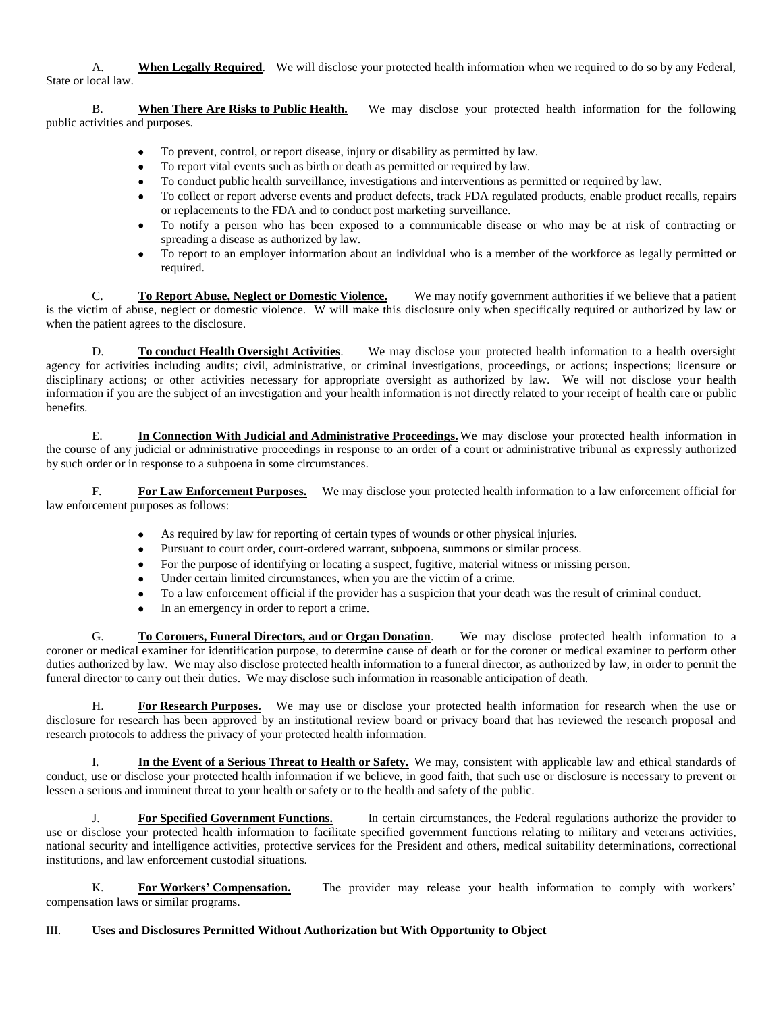A. **When Legally Required**. We will disclose your protected health information when we required to do so by any Federal, State or local law.

B. **When There Are Risks to Public Health.** We may disclose your protected health information for the following public activities and purposes.

- To prevent, control, or report disease, injury or disability as permitted by law.
- To report vital events such as birth or death as permitted or required by law.
- To conduct public health surveillance, investigations and interventions as permitted or required by law.
- To collect or report adverse events and product defects, track FDA regulated products, enable product recalls, repairs or replacements to the FDA and to conduct post marketing surveillance.
- To notify a person who has been exposed to a communicable disease or who may be at risk of contracting or spreading a disease as authorized by law.
- To report to an employer information about an individual who is a member of the workforce as legally permitted or required.

C. **To Report Abuse, Neglect or Domestic Violence.** We may notify government authorities if we believe that a patient is the victim of abuse, neglect or domestic violence. W will make this disclosure only when specifically required or authorized by law or when the patient agrees to the disclosure.

D. **To conduct Health Oversight Activities**. We may disclose your protected health information to a health oversight agency for activities including audits; civil, administrative, or criminal investigations, proceedings, or actions; inspections; licensure or disciplinary actions; or other activities necessary for appropriate oversight as authorized by law. We will not disclose your health information if you are the subject of an investigation and your health information is not directly related to your receipt of health care or public benefits.

E. **In Connection With Judicial and Administrative Proceedings.** We may disclose your protected health information in the course of any judicial or administrative proceedings in response to an order of a court or administrative tribunal as expressly authorized by such order or in response to a subpoena in some circumstances.

F. **For Law Enforcement Purposes.** We may disclose your protected health information to a law enforcement official for law enforcement purposes as follows:

- As required by law for reporting of certain types of wounds or other physical injuries.
- Pursuant to court order, court-ordered warrant, subpoena, summons or similar process.
- For the purpose of identifying or locating a suspect, fugitive, material witness or missing person.
- Under certain limited circumstances, when you are the victim of a crime.
- To a law enforcement official if the provider has a suspicion that your death was the result of criminal conduct.
- In an emergency in order to report a crime.

G. **To Coroners, Funeral Directors, and or Organ Donation**. We may disclose protected health information to a coroner or medical examiner for identification purpose, to determine cause of death or for the coroner or medical examiner to perform other duties authorized by law. We may also disclose protected health information to a funeral director, as authorized by law, in order to permit the funeral director to carry out their duties. We may disclose such information in reasonable anticipation of death.

H. **For Research Purposes.** We may use or disclose your protected health information for research when the use or disclosure for research has been approved by an institutional review board or privacy board that has reviewed the research proposal and research protocols to address the privacy of your protected health information.

I. **In the Event of a Serious Threat to Health or Safety.** We may, consistent with applicable law and ethical standards of conduct, use or disclose your protected health information if we believe, in good faith, that such use or disclosure is necessary to prevent or lessen a serious and imminent threat to your health or safety or to the health and safety of the public.

J. **For Specified Government Functions.** In certain circumstances, the Federal regulations authorize the provider to use or disclose your protected health information to facilitate specified government functions relating to military and veterans activities, national security and intelligence activities, protective services for the President and others, medical suitability determinations, correctional institutions, and law enforcement custodial situations.

K. **For Workers' Compensation.** The provider may release your health information to comply with workers' compensation laws or similar programs.

# III. **Uses and Disclosures Permitted Without Authorization but With Opportunity to Object**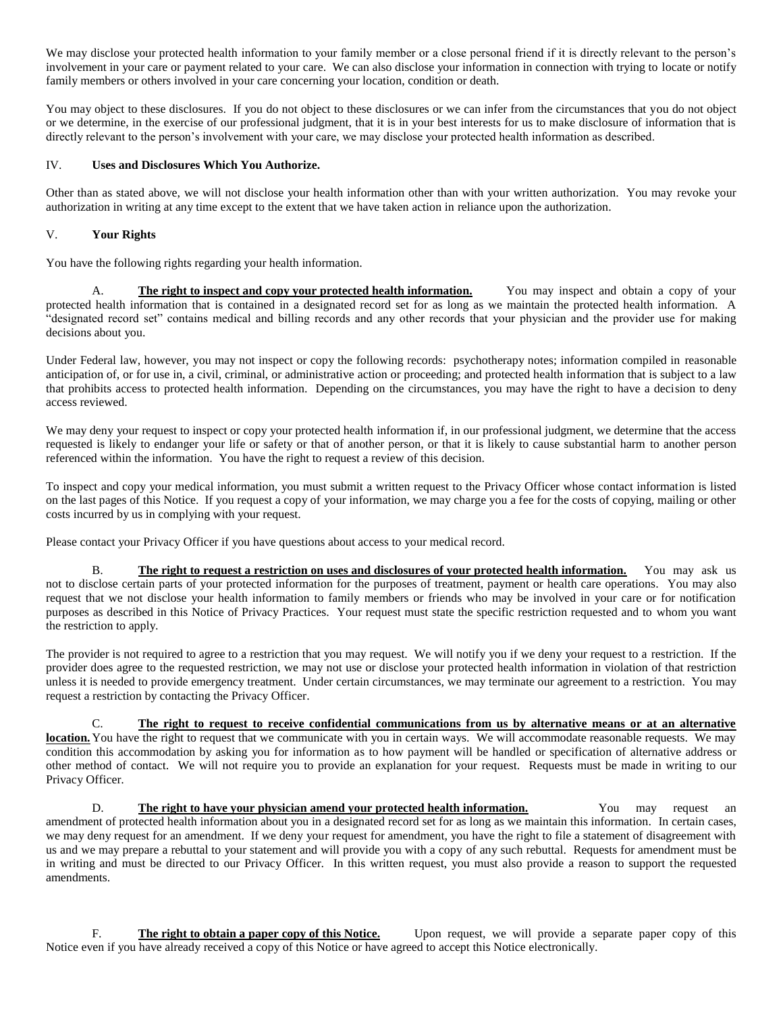We may disclose your protected health information to your family member or a close personal friend if it is directly relevant to the person's involvement in your care or payment related to your care. We can also disclose your information in connection with trying to locate or notify family members or others involved in your care concerning your location, condition or death.

You may object to these disclosures. If you do not object to these disclosures or we can infer from the circumstances that you do not object or we determine, in the exercise of our professional judgment, that it is in your best interests for us to make disclosure of information that is directly relevant to the person's involvement with your care, we may disclose your protected health information as described.

## IV. **Uses and Disclosures Which You Authorize.**

Other than as stated above, we will not disclose your health information other than with your written authorization. You may revoke your authorization in writing at any time except to the extent that we have taken action in reliance upon the authorization.

#### V. **Your Rights**

You have the following rights regarding your health information.

**The right to inspect and copy your protected health information.** You may inspect and obtain a copy of your protected health information that is contained in a designated record set for as long as we maintain the protected health information. A "designated record set" contains medical and billing records and any other records that your physician and the provider use for making decisions about you.

Under Federal law, however, you may not inspect or copy the following records: psychotherapy notes; information compiled in reasonable anticipation of, or for use in, a civil, criminal, or administrative action or proceeding; and protected health information that is subject to a law that prohibits access to protected health information. Depending on the circumstances, you may have the right to have a decision to deny access reviewed.

We may deny your request to inspect or copy your protected health information if, in our professional judgment, we determine that the access requested is likely to endanger your life or safety or that of another person, or that it is likely to cause substantial harm to another person referenced within the information. You have the right to request a review of this decision.

To inspect and copy your medical information, you must submit a written request to the Privacy Officer whose contact information is listed on the last pages of this Notice. If you request a copy of your information, we may charge you a fee for the costs of copying, mailing or other costs incurred by us in complying with your request.

Please contact your Privacy Officer if you have questions about access to your medical record.

B. **The right to request a restriction on uses and disclosures of your protected health information.** You may ask us not to disclose certain parts of your protected information for the purposes of treatment, payment or health care operations. You may also request that we not disclose your health information to family members or friends who may be involved in your care or for notification purposes as described in this Notice of Privacy Practices. Your request must state the specific restriction requested and to whom you want the restriction to apply.

The provider is not required to agree to a restriction that you may request. We will notify you if we deny your request to a restriction. If the provider does agree to the requested restriction, we may not use or disclose your protected health information in violation of that restriction unless it is needed to provide emergency treatment. Under certain circumstances, we may terminate our agreement to a restriction. You may request a restriction by contacting the Privacy Officer.

The right to request to receive confidential communications from us by alternative means or at an alternative **location.** You have the right to request that we communicate with you in certain ways. We will accommodate reasonable requests. We may condition this accommodation by asking you for information as to how payment will be handled or specification of alternative address or other method of contact. We will not require you to provide an explanation for your request. Requests must be made in writing to our Privacy Officer.

D. **The right to have your physician amend your protected health information.** You may request an amendment of protected health information about you in a designated record set for as long as we maintain this information. In certain cases, we may deny request for an amendment. If we deny your request for amendment, you have the right to file a statement of disagreement with us and we may prepare a rebuttal to your statement and will provide you with a copy of any such rebuttal. Requests for amendment must be in writing and must be directed to our Privacy Officer. In this written request, you must also provide a reason to support the requested amendments.

F. **The right to obtain a paper copy of this Notice.** Upon request, we will provide a separate paper copy of this Notice even if you have already received a copy of this Notice or have agreed to accept this Notice electronically.